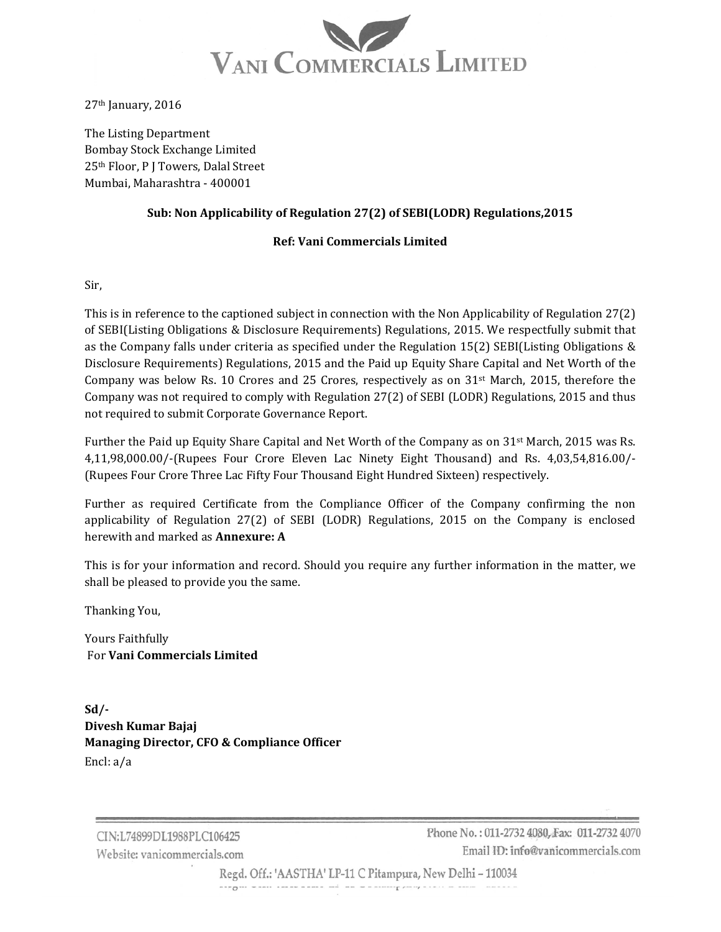

 $27<sup>th</sup>$  January, 2016

The Listing Department Bombay Stock Exchange Limited 25<sup>th</sup> Floor, P J Towers, Dalal Street Mumbai, Maharashtra - 400001

## **Sub: Non Applicability of Regulation 27(2) of SEBI(LODR) Regulations,2015**

## **Ref: Vani Commercials Limited**

Sir, 

This is in reference to the captioned subject in connection with the Non Applicability of Regulation  $27(2)$ of SEBI(Listing Obligations & Disclosure Requirements) Regulations, 2015. We respectfully submit that as the Company falls under criteria as specified under the Regulation  $15(2)$  SEBI(Listing Obligations & Disclosure Requirements) Regulations, 2015 and the Paid up Equity Share Capital and Net Worth of the Company was below Rs. 10 Crores and 25 Crores, respectively as on  $31<sup>st</sup>$  March, 2015, therefore the Company was not required to comply with Regulation  $27(2)$  of SEBI (LODR) Regulations, 2015 and thus not required to submit Corporate Governance Report.

Further the Paid up Equity Share Capital and Net Worth of the Company as on  $31<sup>st</sup>$  March, 2015 was Rs. 4,11,98,000.00/-(Rupees Four Crore Eleven Lac Ninety Eight Thousand) and Rs. 4,03,54,816.00/-(Rupees Four Crore Three Lac Fifty Four Thousand Eight Hundred Sixteen) respectively.

Further as required Certificate from the Compliance Officer of the Company confirming the non applicability of Regulation  $27(2)$  of SEBI (LODR) Regulations,  $2015$  on the Company is enclosed herewith and marked as **Annexure: A**

This is for your information and record. Should you require any further information in the matter, we shall be pleased to provide you the same.

Thanking You, 

Yours Faithfully For **Vani Commercials Limited**

**Sd/‐ Divesh Kumar Bajaj Managing Director, CFO & Compliance Officer** Encl:  $a/a$ 

 $-70$ 

CIN:L74899DL1988PLC106425 Website: vanicommercials.com

the contract of the contract of the contract of the

Phone No.: 011-2732 4080. Fax: 011-2732 4070 Email ID: info@vanicommercials.com

Regd. Off.: 'AASTHA' LP-11 C Pitampura, New Delhi - 110034

 $\mathbf{r}$